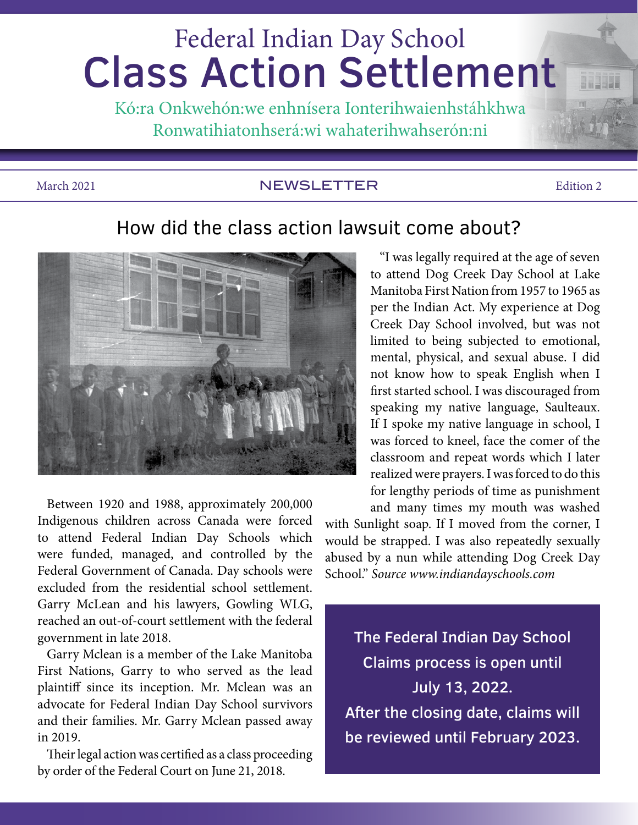# Federal Indian Day School Class Action Settlement

Kó:ra Onkwehón:we enhnísera Ionterihwaienhstáhkhwa Ronwatihiatonhserá:wi wahaterihwahserón:ni

#### March 2021 **NEWSLETTER** Edition 2

#### How did the class action lawsuit come about?



Between 1920 and 1988, approximately 200,000 Indigenous children across Canada were forced to attend Federal Indian Day Schools which were funded, managed, and controlled by the Federal Government of Canada. Day schools were excluded from the residential school settlement. Garry McLean and his lawyers, Gowling WLG, reached an out-of-court settlement with the federal government in late 2018.

Garry Mclean is a member of the Lake Manitoba First Nations, Garry to who served as the lead plaintiff since its inception. Mr. Mclean was an advocate for Federal Indian Day School survivors and their families. Mr. Garry Mclean passed away in 2019.

Their legal action was certified as a class proceeding by order of the Federal Court on June 21, 2018.

"I was legally required at the age of seven to attend Dog Creek Day School at Lake Manitoba First Nation from 1957 to 1965 as per the Indian Act. My experience at Dog Creek Day School involved, but was not limited to being subjected to emotional, mental, physical, and sexual abuse. I did not know how to speak English when I first started school. I was discouraged from speaking my native language, Saulteaux. If I spoke my native language in school, I was forced to kneel, face the comer of the classroom and repeat words which I later realized were prayers. I was forced to do this for lengthy periods of time as punishment and many times my mouth was washed

with Sunlight soap. If I moved from the corner, I would be strapped. I was also repeatedly sexually abused by a nun while attending Dog Creek Day School." *Source www.indiandayschools.com*

The Federal Indian Day School Claims process is open until July 13, 2022. After the closing date, claims will be reviewed until February 2023.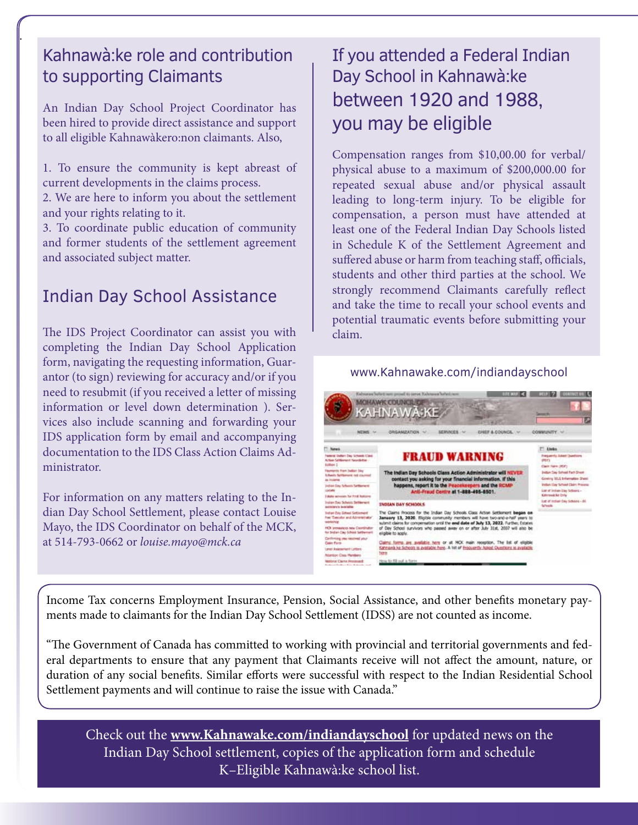#### Kahnawà:ke role and contribution to supporting Claimants

.

An Indian Day School Project Coordinator has been hired to provide direct assistance and support to all eligible Kahnawàkero:non claimants. Also,

1. To ensure the community is kept abreast of current developments in the claims process.

2. We are here to inform you about the settlement and your rights relating to it.

3. To coordinate public education of community and former students of the settlement agreement and associated subject matter.

#### Indian Day School Assistance

The IDS Project Coordinator can assist you with completing the Indian Day School Application form, navigating the requesting information, Guarantor (to sign) reviewing for accuracy and/or if you need to resubmit (if you received a letter of missing information or level down determination ). Services also include scanning and forwarding your IDS application form by email and accompanying documentation to the IDS Class Action Claims Administrator.

For information on any matters relating to the Indian Day School Settlement, please contact Louise Mayo, the IDS Coordinator on behalf of the MCK, at 514-793-0662 or *louise.mayo@mck.ca*

### If you attended a Federal Indian Day School in Kahnawà:ke between 1920 and 1988, you may be eligible

Compensation ranges from \$10,00.00 for verbal/ physical abuse to a maximum of \$200,000.00 for repeated sexual abuse and/or physical assault leading to long-term injury. To be eligible for compensation, a person must have attended at least one of the Federal Indian Day Schools listed in Schedule K of the Settlement Agreement and suffered abuse or harm from teaching staff, officials, students and other third parties at the school. We strongly recommend Claimants carefully reflect and take the time to recall your school events and potential traumatic events before submitting your claim.

#### www.Kahnawake.com/indiandayschool



Income Tax concerns Employment Insurance, Pension, Social Assistance, and other benefits monetary payments made to claimants for the Indian Day School Settlement (IDSS) are not counted as income.

"The Government of Canada has committed to working with provincial and territorial governments and federal departments to ensure that any payment that Claimants receive will not affect the amount, nature, or duration of any social benefits. Similar efforts were successful with respect to the Indian Residential School Settlement payments and will continue to raise the issue with Canada."

Check out the **www.Kahnawake.com/indiandayschool** for updated news on the Indian Day School settlement, copies of the application form and schedule K–Eligible Kahnawà:ke school list.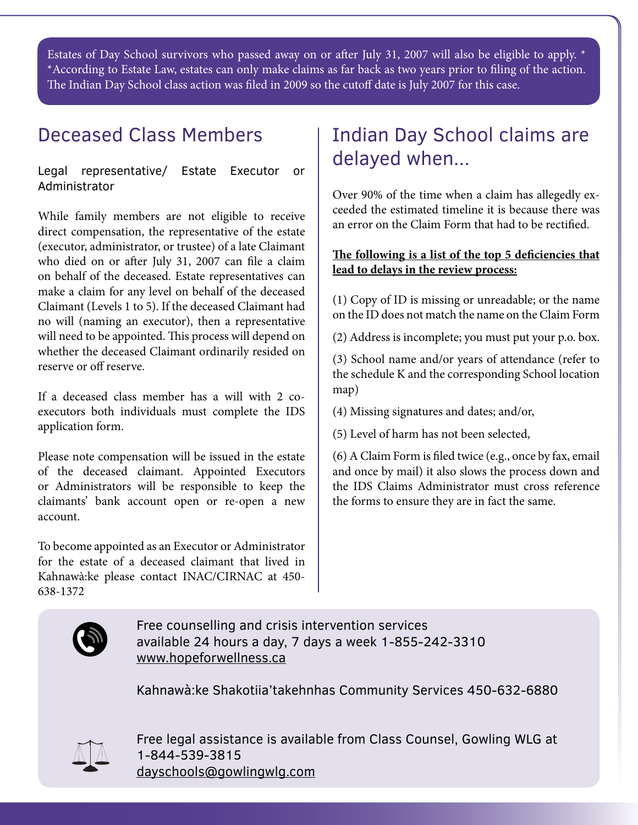Estates of Day School survivors who passed away on or after July 31, 2007 will also be eligible to apply. \* \*According to Estate Law, estates can only make claims as far back as two years prior to filing of the action. The Indian Day School class action was filed in 2009 so the cutoff date is July 2007 for this case.

## Deceased Class Members

Legal representative/ Estate Executor or Administrator

While family members are not eligible to receive direct compensation, the representative of the estate (executor, administrator, or trustee) of a late Claimant who died on or after July 31, 2007 can file a claim on behalf of the deceased. Estate representatives can make a claim for any level on behalf of the deceased Claimant (Levels 1 to 5). If the deceased Claimant had no will (naming an executor), then a representative will need to be appointed. This process will depend on whether the deceased Claimant ordinarily resided on reserve or off reserve.

If a deceased class member has a will with 2 coexecutors both individuals must complete the IDS application form.

Please note compensation will be issued in the estate of the deceased claimant. Appointed Executors or Administrators will be responsible to keep the claimants' bank account open or re-open a new account.

To become appointed as an Executor or Administrator for the estate of a deceased claimant that lived in Kahnawà:ke please contact INAC/CIRNAC at 450- 638-1372

## Indian Day School claims are delayed when...

Over 90% of the time when a claim has allegedly exceeded the estimated timeline it is because there was an error on the Claim Form that had to be rectified.

#### **The following is a list of the top 5 deficiencies that lead to delays in the review process:**

(1) Copy of ID is missing or unreadable; or the name on the ID does not match the name on the Claim Form

(2) Address is incomplete; you must put your p.o. box.

(3) School name and/or years of attendance (refer to the schedule K and the corresponding School location map)

(4) Missing signatures and dates; and/or,

(5) Level of harm has not been selected,

(6) A Claim Form is filed twice (e.g., once by fax, email and once by mail) it also slows the process down and the IDS Claims Administrator must cross reference the forms to ensure they are in fact the same.



Free counselling and crisis intervention services available 24 hours a day, 7 days a week 1-855-242-3310 www.hopeforwellness.ca

Kahnawà:ke Shakotiia'takehnhas Community Services 450-632-6880



Free legal assistance is available from Class Counsel, Gowling WLG at 1-844-539-3815 dayschools@gowlingwlg.com